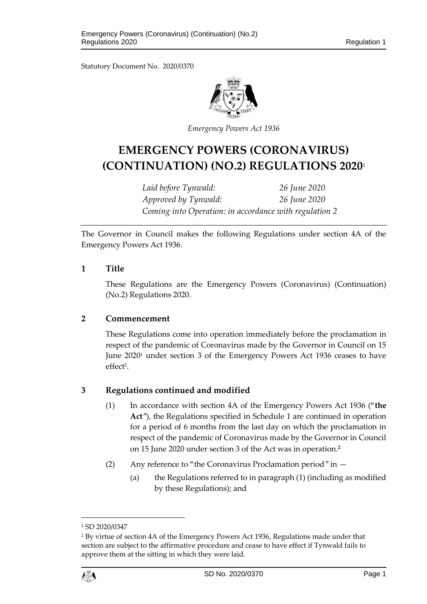Statutory Document No. 2020/0370



*Emergency Powers Act 1936*

# **EMERGENCY POWERS (CORONAVIRUS) (CONTINUATION) (NO.2) REGULATIONS 2020**<sup>1</sup>

*Laid before Tynwald: 26 June 2020 Approved by Tynwald: 26 June 2020 Coming into Operation: in accordance with regulation 2*

The Governor in Council makes the following Regulations under section 4A of the Emergency Powers Act 1936.

#### **1 Title**

These Regulations are the Emergency Powers (Coronavirus) (Continuation) (No.2) Regulations 2020.

#### **2 Commencement**

These Regulations come into operation immediately before the proclamation in respect of the pandemic of Coronavirus made by the Governor in Council on 15 June 2020<sup>1</sup> under section 3 of the Emergency Powers Act 1936 ceases to have effect<sup>2</sup>.

#### **3 Regulations continued and modified**

- (1) In accordance with section 4A of the Emergency Powers Act 1936 ("**the Act**"), the Regulations specified in Schedule 1 are continued in operation for a period of 6 months from the last day on which the proclamation in respect of the pandemic of Coronavirus made by the Governor in Council on 15 June 2020 under section 3 of the Act was in operation.**<sup>2</sup>**
- (2) Any reference to "the Coronavirus Proclamation period" in
	- (a) the Regulations referred to in paragraph (1) (including as modified by these Regulations); and

<sup>2</sup> By virtue of section 4A of the Emergency Powers Act 1936, Regulations made under that section are subject to the affirmative procedure and cease to have effect if Tynwald fails to approve them at the sitting in which they were laid.



 $\overline{a}$ 

<sup>1</sup> SD 2020/0347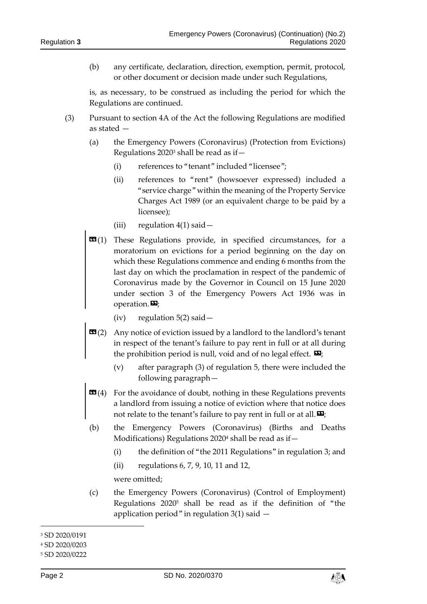(b) any certificate, declaration, direction, exemption, permit, protocol, or other document or decision made under such Regulations,

is, as necessary, to be construed as including the period for which the Regulations are continued.

- (3) Pursuant to section 4A of the Act the following Regulations are modified as stated —
	- (a) the Emergency Powers (Coronavirus) (Protection from Evictions) Regulations  $2020^3$  shall be read as if -
		- (i) references to "tenant" included "licensee";
		- (ii) references to "rent" (howsoever expressed) included a "service charge" within the meaning of the Property Service Charges Act 1989 (or an equivalent charge to be paid by a licensee);
		- (iii) regulation  $4(1)$  said  $-$
	- $\mathbf{G}(1)$  These Regulations provide, in specified circumstances, for a moratorium on evictions for a period beginning on the day on which these Regulations commence and ending 6 months from the last day on which the proclamation in respect of the pandemic of Coronavirus made by the Governor in Council on 15 June 2020 under section 3 of the Emergency Powers Act 1936 was in operation. $\mathbf{D}$ ;
		- (iv) regulation  $5(2)$  said  $-$
	- **Any notice of eviction issued by a landlord to the landlord's tenant** in respect of the tenant's failure to pay rent in full or at all during the prohibition period is null, void and of no legal effect.  $\mathbf{E}$ ;
		- (v) after paragraph (3) of regulation 5, there were included the following paragraph—
	- **EG(4)** For the avoidance of doubt, nothing in these Regulations prevents a landlord from issuing a notice of eviction where that notice does not relate to the tenant's failure to pay rent in full or at all.  $\mathbf{E}$ ;
	- (b) the Emergency Powers (Coronavirus) (Births and Deaths Modifications) Regulations 2020<sup>4</sup> shall be read as if -
		- (i) the definition of "the 2011 Regulations" in regulation 3; and
		- (ii) regulations 6, 7, 9, 10, 11 and 12,

were omitted;

(c) the Emergency Powers (Coronavirus) (Control of Employment) Regulations 2020 <sup>5</sup> shall be read as if the definition of "the application period" in regulation  $3(1)$  said  $-$ 



<sup>3</sup> SD 2020/0191

<sup>4</sup> SD 2020/0203

<sup>5</sup> SD 2020/0222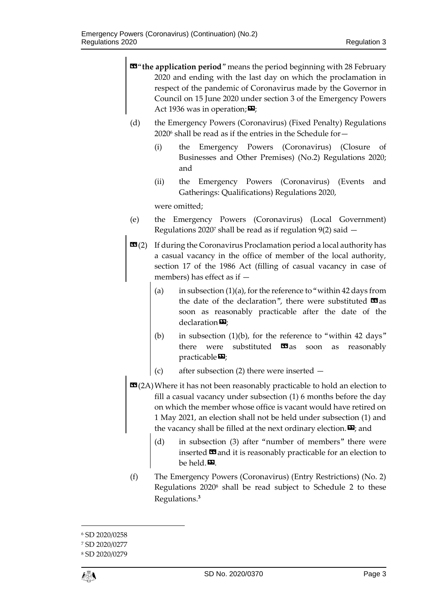$\mathbf{E}$ " the application period" means the period beginning with 28 February 2020 and ending with the last day on which the proclamation in respect of the pandemic of Coronavirus made by the Governor in Council on 15 June 2020 under section 3 of the Emergency Powers Act 1936 was in operation;  $\mathbf{E}$ ; (d) the Emergency Powers (Coronavirus) (Fixed Penalty) Regulations  $2020^6$  shall be read as if the entries in the Schedule for  $-$ (i) the Emergency Powers (Coronavirus) (Closure of Businesses and Other Premises) (No.2) Regulations 2020; and (ii) the Emergency Powers (Coronavirus) (Events and Gatherings: Qualifications) Regulations 2020, were omitted; (e) the Emergency Powers (Coronavirus) (Local Government) Regulations 2020<sup>7</sup> shall be read as if regulation 9(2) said  $-$  **(2) If during the Coronavirus Proclamation period a local authority has** a casual vacancy in the office of member of the local authority, section 17 of the 1986 Act (filling of casual vacancy in case of members) has effect as if — (a) in subsection  $(1)(a)$ , for the reference to "within 42 days from the date of the declaration", there were substituted  $\mathbf{G}$  as soon as reasonably practicable after the date of the  $declaration$  $\Sigma$ ; (b) in subsection  $(1)(b)$ , for the reference to "within 42 days" there were substituted  $\Box$ as soon as reasonably practicable $\mathbf{E}$ ; (c) after subsection (2) there were inserted — **EG**(2A) Where it has not been reasonably practicable to hold an election to fill a casual vacancy under subsection (1) 6 months before the day on which the member whose office is vacant would have retired on 1 May 2021, an election shall not be held under subsection (1) and the vacancy shall be filled at the next ordinary election.  $\mathbf{E}$ ; and (d) in subsection (3) after "number of members" there were inserted  $\blacksquare$  and it is reasonably practicable for an election to be held. (f) The Emergency Powers (Coronavirus) (Entry Restrictions) (No. 2) Regulations 2020<sup>8</sup> shall be read subject to Schedule 2 to these Regulations.**<sup>3</sup>**

 $\overline{a}$ 

<sup>6</sup> SD 2020/0258

<sup>7</sup> SD 2020/0277

<sup>8</sup> SD 2020/0279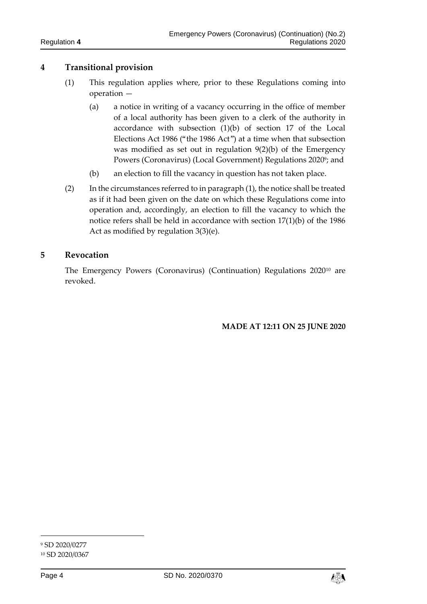#### **4 Transitional provision**

- (1) This regulation applies where, prior to these Regulations coming into operation —
	- (a) a notice in writing of a vacancy occurring in the office of member of a local authority has been given to a clerk of the authority in accordance with subsection (1)(b) of section 17 of the Local Elections Act 1986 ("the 1986 Act") at a time when that subsection was modified as set out in regulation 9(2)(b) of the Emergency Powers (Coronavirus) (Local Government) Regulations 2020°; and
	- (b) an election to fill the vacancy in question has not taken place.
- (2) In the circumstances referred to in paragraph (1), the notice shall be treated as if it had been given on the date on which these Regulations come into operation and, accordingly, an election to fill the vacancy to which the notice refers shall be held in accordance with section 17(1)(b) of the 1986 Act as modified by regulation 3(3)(e).

#### **5 Revocation**

The Emergency Powers (Coronavirus) (Continuation) Regulations 2020<sup>10</sup> are revoked.

**MADE AT 12:11 ON 25 JUNE 2020**



<sup>9</sup> SD 2020/0277 <sup>10</sup> SD 2020/0367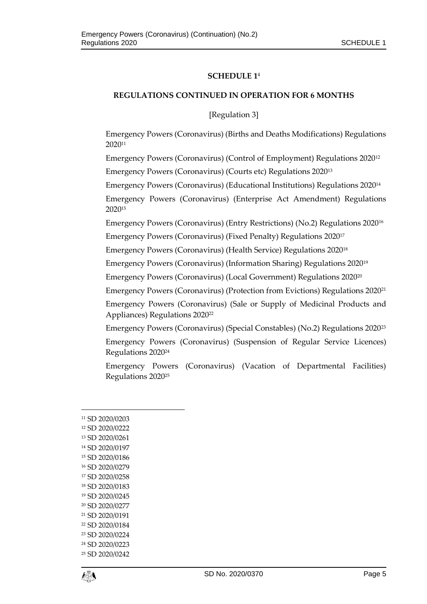#### **SCHEDULE 1** 4

#### **REGULATIONS CONTINUED IN OPERATION FOR 6 MONTHS**

[Regulation 3]

Emergency Powers (Coronavirus) (Births and Deaths Modifications) Regulations 2020<sup>11</sup>

Emergency Powers (Coronavirus) (Control of Employment) Regulations 2020<sup>12</sup> Emergency Powers (Coronavirus) (Courts etc) Regulations 2020<sup>13</sup>

Emergency Powers (Coronavirus) (Educational Institutions) Regulations 2020<sup>14</sup>

Emergency Powers (Coronavirus) (Enterprise Act Amendment) Regulations 2020<sup>15</sup>

Emergency Powers (Coronavirus) (Entry Restrictions) (No.2) Regulations 2020<sup>16</sup>

Emergency Powers (Coronavirus) (Fixed Penalty) Regulations 2020<sup>17</sup>

Emergency Powers (Coronavirus) (Health Service) Regulations 2020<sup>18</sup>

Emergency Powers (Coronavirus) (Information Sharing) Regulations 2020<sup>19</sup>

Emergency Powers (Coronavirus) (Local Government) Regulations 2020<sup>20</sup>

Emergency Powers (Coronavirus) (Protection from Evictions) Regulations 2020<sup>21</sup>

Emergency Powers (Coronavirus) (Sale or Supply of Medicinal Products and Appliances) Regulations 2020<sup>22</sup>

Emergency Powers (Coronavirus) (Special Constables) (No.2) Regulations 2020<sup>23</sup>

Emergency Powers (Coronavirus) (Suspension of Regular Service Licences) Regulations 2020<sup>24</sup>

Emergency Powers (Coronavirus) (Vacation of Departmental Facilities) Regulations 2020<sup>25</sup>

 $\overline{a}$  SD 2020/0203 SD 2020/0222 SD 2020/0261 SD 2020/0197 SD 2020/0186 SD 2020/0279 SD 2020/0258 SD 2020/0183 SD 2020/0245 SD 2020/0277 SD 2020/0191 SD 2020/0184 SD 2020/0224 SD 2020/0223 SD 2020/0242

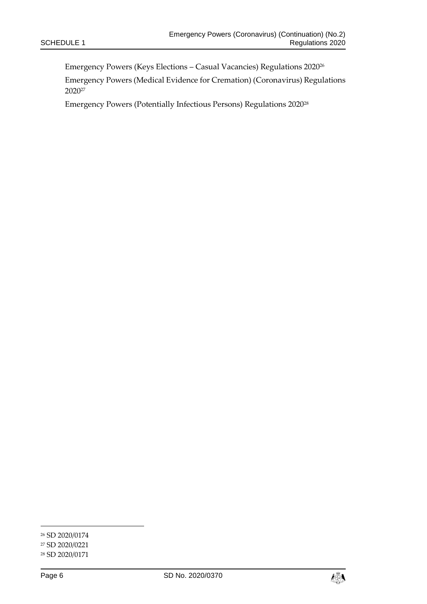Emergency Powers (Keys Elections – Casual Vacancies) Regulations 2020<sup>26</sup>

Emergency Powers (Medical Evidence for Cremation) (Coronavirus) Regulations 2020<sup>27</sup>

Emergency Powers (Potentially Infectious Persons) Regulations 2020<sup>28</sup>



<sup>26</sup> SD 2020/0174

<sup>27</sup> SD 2020/0221

<sup>28</sup> SD 2020/0171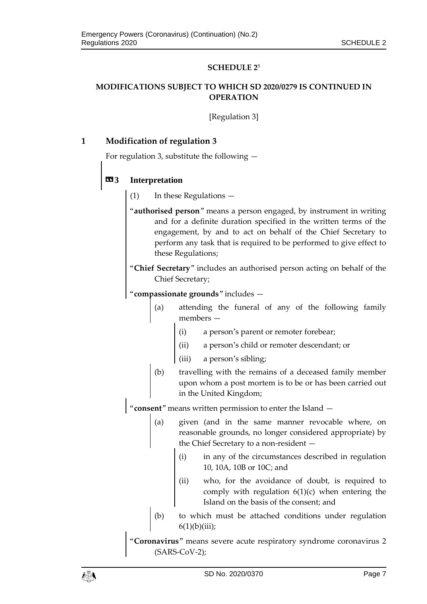#### **SCHEDULE 2**<sup>5</sup>

### **MODIFICATIONS SUBJECT TO WHICH SD 2020/0279 IS CONTINUED IN OPERATION**

[Regulation 3]

#### **1 Modification of regulation 3**

For regulation 3, substitute the following —

### **«3 Interpretation**

- (1) In these Regulations —
- "**authorised person**" means a person engaged, by instrument in writing and for a definite duration specified in the written terms of the engagement, by and to act on behalf of the Chief Secretary to perform any task that is required to be performed to give effect to these Regulations;
- "**Chief Secretary**" includes an authorised person acting on behalf of the Chief Secretary;

"**compassionate grounds**" includes —

- (a) attending the funeral of any of the following family members —
	- (i) a person's parent or remoter forebear;
	- (ii) a person's child or remoter descendant; or
	- (iii) a person's sibling;
- (b) travelling with the remains of a deceased family member upon whom a post mortem is to be or has been carried out in the United Kingdom;

"**consent**" means written permission to enter the Island —

- (a) given (and in the same manner revocable where, on reasonable grounds, no longer considered appropriate) by the Chief Secretary to a non-resident —
	- (i) in any of the circumstances described in regulation 10, 10A, 10B or 10C; and
	- (ii) who, for the avoidance of doubt, is required to comply with regulation  $6(1)(c)$  when entering the Island on the basis of the consent; and
- (b) to which must be attached conditions under regulation  $6(1)(b)(iii);$

"**Coronavirus**" means severe acute respiratory syndrome coronavirus 2 (SARS-CoV-2);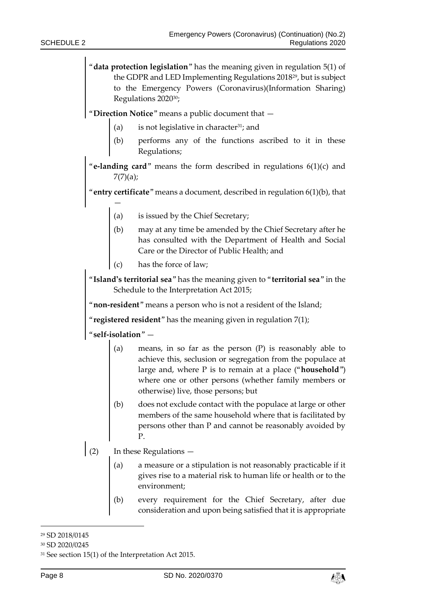"**data protection legislation**" has the meaning given in regulation 5(1) of the GDPR and LED Implementing Regulations 201829, but is subject to the Emergency Powers (Coronavirus)(Information Sharing) Regulations 202030;

"**Direction Notice**" means a public document that —

- (a) is not legislative in character<sup>31</sup>; and
- (b) performs any of the functions ascribed to it in these Regulations;

"**e-landing card**" means the form described in regulations 6(1)(c) and  $7(7)(a);$ 

"**entry certificate**" means a document, described in regulation 6(1)(b), that

- (a) is issued by the Chief Secretary;
- (b) may at any time be amended by the Chief Secretary after he has consulted with the Department of Health and Social Care or the Director of Public Health; and
- (c) has the force of law;

"**Island's territorial sea**" has the meaning given to "**territorial sea**" in the Schedule to the Interpretation Act 2015;

"**non-resident**" means a person who is not a resident of the Island;

"**registered resident**" has the meaning given in regulation 7(1);

"**self-isolation**" —

—

- (a) means, in so far as the person (P) is reasonably able to achieve this, seclusion or segregation from the populace at large and, where P is to remain at a place ("**household**") where one or other persons (whether family members or otherwise) live, those persons; but
- (b) does not exclude contact with the populace at large or other members of the same household where that is facilitated by persons other than P and cannot be reasonably avoided by P.
- (2) In these Regulations
	- a measure or a stipulation is not reasonably practicable if it gives rise to a material risk to human life or health or to the environment;
	- (b) every requirement for the Chief Secretary, after due consideration and upon being satisfied that it is appropriate



<sup>29</sup> SD 2018/0145

<sup>30</sup> SD 2020/0245

<sup>31</sup> See section 15(1) of the Interpretation Act 2015.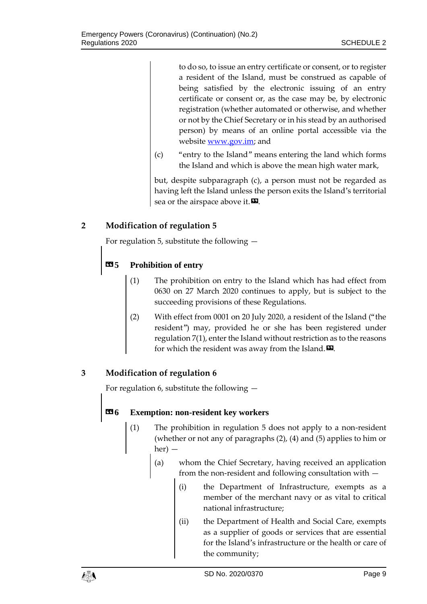to do so, to issue an entry certificate or consent, or to register a resident of the Island, must be construed as capable of being satisfied by the electronic issuing of an entry certificate or consent or, as the case may be, by electronic registration (whether automated or otherwise, and whether or not by the Chief Secretary or in his stead by an authorised person) by means of an online portal accessible via the website [www.gov.im;](http://www.gov.im/) and

(c) "entry to the Island" means entering the land which forms the Island and which is above the mean high water mark,

but, despite subparagraph (c), a person must not be regarded as having left the Island unless the person exits the Island's territorial sea or the airspace above it.  $\mathbf{E}$ .

# **2 Modification of regulation 5**

For regulation 5, substitute the following —

# **«5 Prohibition of entry**

- (1) The prohibition on entry to the Island which has had effect from 0630 on 27 March 2020 continues to apply, but is subject to the succeeding provisions of these Regulations.
- (2) With effect from 0001 on 20 July 2020, a resident of the Island ("the resident") may, provided he or she has been registered under regulation 7(1), enter the Island without restriction as to the reasons for which the resident was away from the Island. $\boldsymbol{\mathsf{\Xi}}$ .

# **3 Modification of regulation 6**

For regulation 6, substitute the following —

### **«6 Exemption: non-resident key workers**

- (1) The prohibition in regulation 5 does not apply to a non-resident (whether or not any of paragraphs (2), (4) and (5) applies to him or her) —
	- (a) whom the Chief Secretary, having received an application from the non-resident and following consultation with —
		- (i) the Department of Infrastructure, exempts as a member of the merchant navy or as vital to critical national infrastructure;
		- (ii) the Department of Health and Social Care, exempts as a supplier of goods or services that are essential for the Island's infrastructure or the health or care of the community;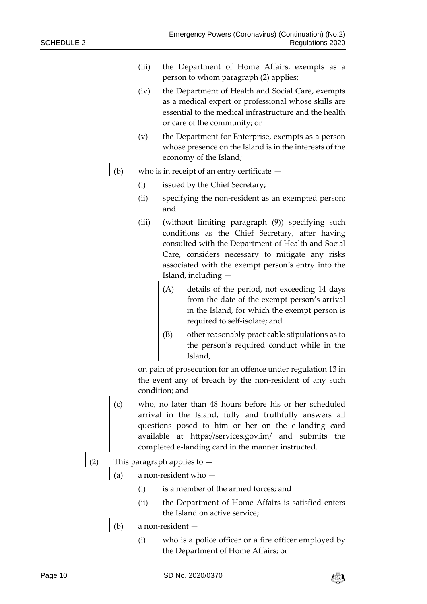- (iii) the Department of Home Affairs, exempts as a person to whom paragraph (2) applies;
- (iv) the Department of Health and Social Care, exempts as a medical expert or professional whose skills are essential to the medical infrastructure and the health or care of the community; or
- (v) the Department for Enterprise, exempts as a person whose presence on the Island is in the interests of the economy of the Island;
- (b) who is in receipt of an entry certificate  $-$ 
	- (i) issued by the Chief Secretary;
	- (ii) specifying the non-resident as an exempted person; and
	- (iii) (without limiting paragraph (9)) specifying such conditions as the Chief Secretary, after having consulted with the Department of Health and Social Care, considers necessary to mitigate any risks associated with the exempt person's entry into the Island, including —
		- (A) details of the period, not exceeding 14 days from the date of the exempt person's arrival in the Island, for which the exempt person is required to self-isolate; and
		- (B) other reasonably practicable stipulations as to the person's required conduct while in the Island,

on pain of prosecution for an offence under regulation 13 in the event any of breach by the non-resident of any such condition; and

- (c) who, no later than 48 hours before his or her scheduled arrival in the Island, fully and truthfully answers all questions posed to him or her on the e-landing card available at https://services.gov.im/ and submits the completed e-landing card in the manner instructed.
- (2) This paragraph applies to  $-$ 
	- (a) a non-resident who
		- (i) is a member of the armed forces; and
		- (ii) the Department of Home Affairs is satisfied enters the Island on active service;
	- (b) a non-resident  $-$ 
		- (i) who is a police officer or a fire officer employed by the Department of Home Affairs; or

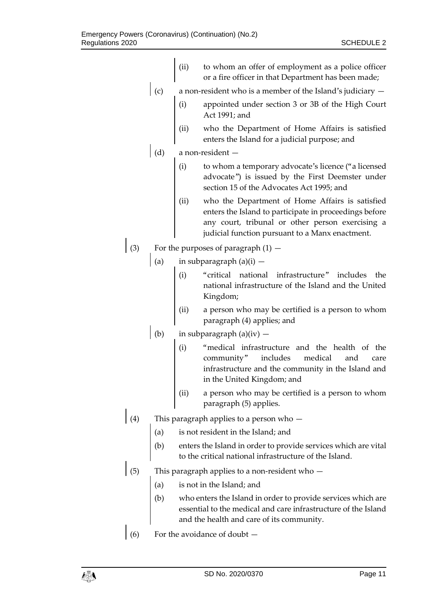|     |     | (ii)                                                                                                                     | to whom an offer of employment as a police officer<br>or a fire officer in that Department has been made;                                                                                                        |  |
|-----|-----|--------------------------------------------------------------------------------------------------------------------------|------------------------------------------------------------------------------------------------------------------------------------------------------------------------------------------------------------------|--|
|     | (c) | a non-resident who is a member of the Island's judiciary $-$                                                             |                                                                                                                                                                                                                  |  |
|     |     | (i)                                                                                                                      | appointed under section 3 or 3B of the High Court<br>Act 1991; and                                                                                                                                               |  |
|     |     | (ii)                                                                                                                     | who the Department of Home Affairs is satisfied<br>enters the Island for a judicial purpose; and                                                                                                                 |  |
|     | (d) | a non-resident -                                                                                                         |                                                                                                                                                                                                                  |  |
|     |     | (i)                                                                                                                      | to whom a temporary advocate's licence ("a licensed<br>advocate") is issued by the First Deemster under<br>section 15 of the Advocates Act 1995; and                                                             |  |
|     |     | (ii)                                                                                                                     | who the Department of Home Affairs is satisfied<br>enters the Island to participate in proceedings before<br>any court, tribunal or other person exercising a<br>judicial function pursuant to a Manx enactment. |  |
| (3) |     | For the purposes of paragraph $(1)$ –                                                                                    |                                                                                                                                                                                                                  |  |
|     | (a) | in subparagraph $(a)(i)$ –                                                                                               |                                                                                                                                                                                                                  |  |
|     |     | (i)                                                                                                                      | "critical national infrastructure" includes<br>the<br>national infrastructure of the Island and the United<br>Kingdom;                                                                                           |  |
|     |     | (ii)                                                                                                                     | a person who may be certified is a person to whom<br>paragraph (4) applies; and                                                                                                                                  |  |
|     | (b) | in subparagraph $(a)(iv)$ –                                                                                              |                                                                                                                                                                                                                  |  |
|     |     | (i)                                                                                                                      | "medical infrastructure and the health of the<br>medical<br>includes<br>community"<br>and<br>care<br>infrastructure and the community in the Island and<br>in the United Kingdom; and                            |  |
|     |     | (ii)                                                                                                                     | a person who may be certified is a person to whom<br>paragraph (5) applies.                                                                                                                                      |  |
| (4) |     | This paragraph applies to a person who -                                                                                 |                                                                                                                                                                                                                  |  |
|     | (a) | is not resident in the Island; and                                                                                       |                                                                                                                                                                                                                  |  |
|     | (b) | enters the Island in order to provide services which are vital<br>to the critical national infrastructure of the Island. |                                                                                                                                                                                                                  |  |
| (5) |     | This paragraph applies to a non-resident who -                                                                           |                                                                                                                                                                                                                  |  |
|     | (a) | is not in the Island; and                                                                                                |                                                                                                                                                                                                                  |  |
|     | (b) |                                                                                                                          | who enters the Island in order to provide services which are<br>essential to the medical and care infrastructure of the Island<br>and the health and care of its community.                                      |  |
| (6) |     | For the avoidance of doubt -                                                                                             |                                                                                                                                                                                                                  |  |
|     |     |                                                                                                                          |                                                                                                                                                                                                                  |  |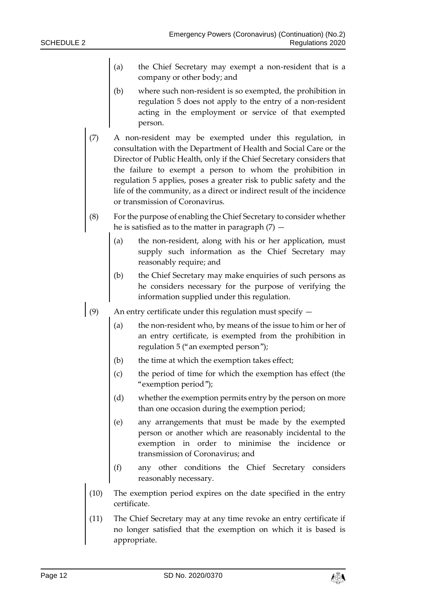- (a) the Chief Secretary may exempt a non-resident that is a company or other body; and
- (b) where such non-resident is so exempted, the prohibition in regulation 5 does not apply to the entry of a non-resident acting in the employment or service of that exempted person.
- (7) A non-resident may be exempted under this regulation, in consultation with the Department of Health and Social Care or the Director of Public Health, only if the Chief Secretary considers that the failure to exempt a person to whom the prohibition in regulation 5 applies, poses a greater risk to public safety and the life of the community, as a direct or indirect result of the incidence or transmission of Coronavirus.
- (8) For the purpose of enabling the Chief Secretary to consider whether he is satisfied as to the matter in paragraph  $(7)$  -
	- (a) the non-resident, along with his or her application, must supply such information as the Chief Secretary may reasonably require; and
	- (b) the Chief Secretary may make enquiries of such persons as he considers necessary for the purpose of verifying the information supplied under this regulation.
- (9) An entry certificate under this regulation must specify  $-$ 
	- (a) the non-resident who, by means of the issue to him or her of an entry certificate, is exempted from the prohibition in regulation 5 ("an exempted person");
	- (b) the time at which the exemption takes effect;
	- (c) the period of time for which the exemption has effect (the "exemption period");
	- (d) whether the exemption permits entry by the person on more than one occasion during the exemption period;
	- (e) any arrangements that must be made by the exempted person or another which are reasonably incidental to the exemption in order to minimise the incidence or transmission of Coronavirus; and
	- (f) any other conditions the Chief Secretary considers reasonably necessary.
	- (10) The exemption period expires on the date specified in the entry certificate.
	- (11) The Chief Secretary may at any time revoke an entry certificate if no longer satisfied that the exemption on which it is based is appropriate.

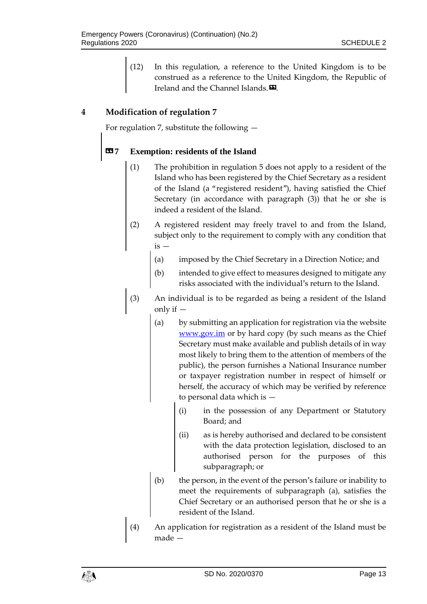(12) In this regulation, a reference to the United Kingdom is to be construed as a reference to the United Kingdom, the Republic of Ireland and the Channel Islands. $\mathbf{E}$ .

## **4 Modification of regulation 7**

For regulation 7, substitute the following —

#### **«7 Exemption: residents of the Island**

- (1) The prohibition in regulation 5 does not apply to a resident of the Island who has been registered by the Chief Secretary as a resident of the Island (a "registered resident"), having satisfied the Chief Secretary (in accordance with paragraph (3)) that he or she is indeed a resident of the Island.
- (2) A registered resident may freely travel to and from the Island, subject only to the requirement to comply with any condition that is —
	- (a) imposed by the Chief Secretary in a Direction Notice; and
	- (b) intended to give effect to measures designed to mitigate any risks associated with the individual's return to the Island.
- (3) An individual is to be regarded as being a resident of the Island only if —
	- (a) by submitting an application for registration via the website [www.gov.im](http://www.gov.im/) or by hard copy (by such means as the Chief Secretary must make available and publish details of in way most likely to bring them to the attention of members of the public), the person furnishes a National Insurance number or taxpayer registration number in respect of himself or herself, the accuracy of which may be verified by reference to personal data which is —
		- (i) in the possession of any Department or Statutory Board; and
		- (ii) as is hereby authorised and declared to be consistent with the data protection legislation, disclosed to an authorised person for the purposes of this subparagraph; or
	- (b) the person, in the event of the person's failure or inability to meet the requirements of subparagraph (a), satisfies the Chief Secretary or an authorised person that he or she is a resident of the Island.
- (4) An application for registration as a resident of the Island must be made —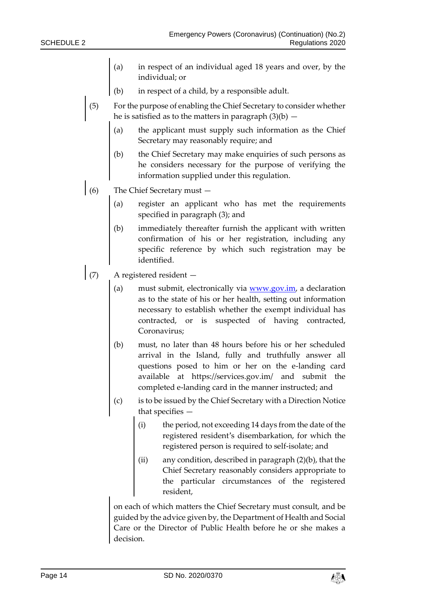- (a) in respect of an individual aged 18 years and over, by the individual; or
- (b) in respect of a child, by a responsible adult.
- (5) For the purpose of enabling the Chief Secretary to consider whether he is satisfied as to the matters in paragraph  $(3)(b)$  —
	- (a) the applicant must supply such information as the Chief Secretary may reasonably require; and
	- (b) the Chief Secretary may make enquiries of such persons as he considers necessary for the purpose of verifying the information supplied under this regulation.
- (6) The Chief Secretary must
	- (a) register an applicant who has met the requirements specified in paragraph (3); and
	- (b) immediately thereafter furnish the applicant with written confirmation of his or her registration, including any specific reference by which such registration may be identified.
- (7) A registered resident
	- (a) must submit, electronically via  $www.gov.in$ , a declaration as to the state of his or her health, setting out information necessary to establish whether the exempt individual has contracted, or is suspected of having contracted, Coronavirus;
	- (b) must, no later than 48 hours before his or her scheduled arrival in the Island, fully and truthfully answer all questions posed to him or her on the e-landing card available at https://services.gov.im/ and submit the completed e-landing card in the manner instructed; and
	- (c) is to be issued by the Chief Secretary with a Direction Notice that specifies —
		- (i) the period, not exceeding 14 days from the date of the registered resident's disembarkation, for which the registered person is required to self-isolate; and
		- (ii) any condition, described in paragraph (2)(b), that the Chief Secretary reasonably considers appropriate to the particular circumstances of the registered resident,

on each of which matters the Chief Secretary must consult, and be guided by the advice given by, the Department of Health and Social Care or the Director of Public Health before he or she makes a decision.

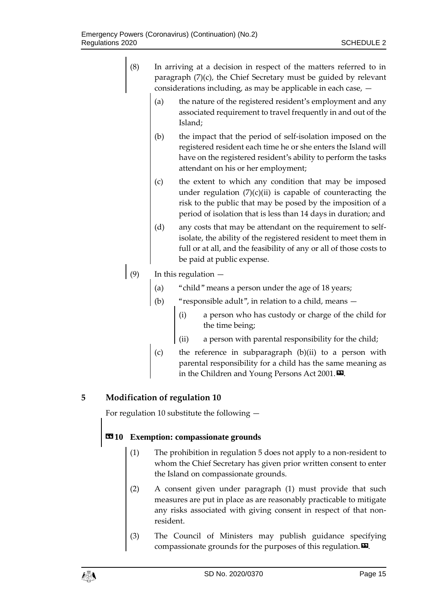| (8) | In arriving at a decision in respect of the matters referred to in  |
|-----|---------------------------------------------------------------------|
|     | paragraph $(7)(c)$ , the Chief Secretary must be guided by relevant |
|     | considerations including, as may be applicable in each case, $-$    |

- (a) the nature of the registered resident's employment and any associated requirement to travel frequently in and out of the Island;
- (b) the impact that the period of self-isolation imposed on the registered resident each time he or she enters the Island will have on the registered resident's ability to perform the tasks attendant on his or her employment;
- (c) the extent to which any condition that may be imposed under regulation  $(7)(c)(ii)$  is capable of counteracting the risk to the public that may be posed by the imposition of a period of isolation that is less than 14 days in duration; and
- (d) any costs that may be attendant on the requirement to selfisolate, the ability of the registered resident to meet them in full or at all, and the feasibility of any or all of those costs to be paid at public expense.

# (9) In this regulation  $-$

- (a) "child" means a person under the age of 18 years;
- (b) "responsible adult", in relation to a child, means
	- (i) a person who has custody or charge of the child for the time being;
	- (ii) a person with parental responsibility for the child;
- (c) the reference in subparagraph (b)(ii) to a person with parental responsibility for a child has the same meaning as in the Children and Young Persons Act 2001.<sup>12</sup>.

# **5 Modification of regulation 10**

For regulation 10 substitute the following —

# **«10 Exemption: compassionate grounds**

- (1) The prohibition in regulation 5 does not apply to a non-resident to whom the Chief Secretary has given prior written consent to enter the Island on compassionate grounds.
- (2) A consent given under paragraph (1) must provide that such measures are put in place as are reasonably practicable to mitigate any risks associated with giving consent in respect of that nonresident.
- (3) The Council of Ministers may publish guidance specifying compassionate grounds for the purposes of this regulation. $\boldsymbol{\mathsf{\Xi}}$ .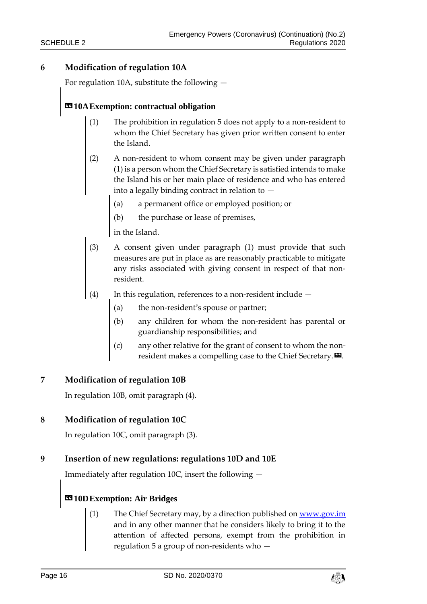### **6 Modification of regulation 10A**

For regulation 10A, substitute the following —

# **«10AExemption: contractual obligation**

- (1) The prohibition in regulation 5 does not apply to a non-resident to whom the Chief Secretary has given prior written consent to enter the Island.
- (2) A non-resident to whom consent may be given under paragraph (1) is a person whom the Chief Secretary is satisfied intends to make the Island his or her main place of residence and who has entered into a legally binding contract in relation to —
	- (a) a permanent office or employed position; or
	- (b) the purchase or lease of premises,

in the Island.

- (3) A consent given under paragraph (1) must provide that such measures are put in place as are reasonably practicable to mitigate any risks associated with giving consent in respect of that nonresident.
- (4) In this regulation, references to a non-resident include
	- (a) the non-resident's spouse or partner;
	- (b) any children for whom the non-resident has parental or guardianship responsibilities; and
	- any other relative for the grant of consent to whom the nonresident makes a compelling case to the Chief Secretary. $\mathbf{E}$ .

#### **7 Modification of regulation 10B**

In regulation 10B, omit paragraph (4).

#### **8 Modification of regulation 10C**

In regulation 10C, omit paragraph (3).

#### **9 Insertion of new regulations: regulations 10D and 10E**

Immediately after regulation 10C, insert the following —

# **«10DExemption: Air Bridges**

The Chief Secretary may, by a direction published o[n www.gov.im](http://www.gov.im/) and in any other manner that he considers likely to bring it to the attention of affected persons, exempt from the prohibition in regulation 5 a group of non-residents who —

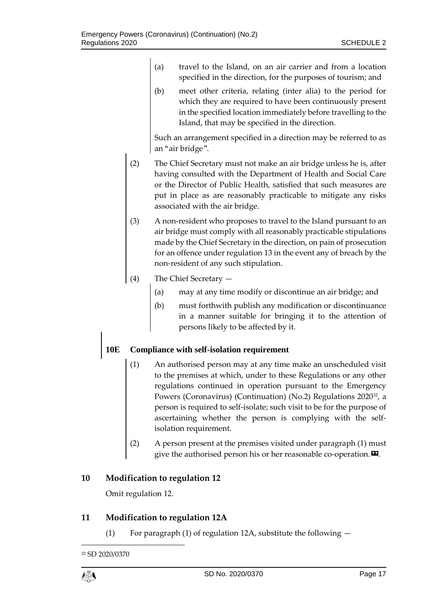- (a) travel to the Island, on an air carrier and from a location specified in the direction, for the purposes of tourism; and
- (b) meet other criteria, relating (inter alia) to the period for which they are required to have been continuously present in the specified location immediately before travelling to the Island, that may be specified in the direction.

Such an arrangement specified in a direction may be referred to as an "air bridge".

- (2) The Chief Secretary must not make an air bridge unless he is, after having consulted with the Department of Health and Social Care or the Director of Public Health, satisfied that such measures are put in place as are reasonably practicable to mitigate any risks associated with the air bridge.
- (3) A non-resident who proposes to travel to the Island pursuant to an air bridge must comply with all reasonably practicable stipulations made by the Chief Secretary in the direction, on pain of prosecution for an offence under regulation 13 in the event any of breach by the non-resident of any such stipulation.
- (4) The Chief Secretary
	- (a) may at any time modify or discontinue an air bridge; and
	- (b) must forthwith publish any modification or discontinuance in a manner suitable for bringing it to the attention of persons likely to be affected by it.

### **10E Compliance with self-isolation requirement**

- (1) An authorised person may at any time make an unscheduled visit to the premises at which, under to these Regulations or any other regulations continued in operation pursuant to the Emergency Powers (Coronavirus) (Continuation) (No.2) Regulations 202032, a person is required to self-isolate; such visit to be for the purpose of ascertaining whether the person is complying with the selfisolation requirement.
- (2) A person present at the premises visited under paragraph (1) must give the authorised person his or her reasonable co-operation. $\boldsymbol{\Sigma}$ .

### **10 Modification to regulation 12**

Omit regulation 12.

### **11 Modification to regulation 12A**

(1) For paragraph (1) of regulation 12A, substitute the following  $-$ 

 $\overline{a}$ 

<sup>32</sup> SD 2020/0370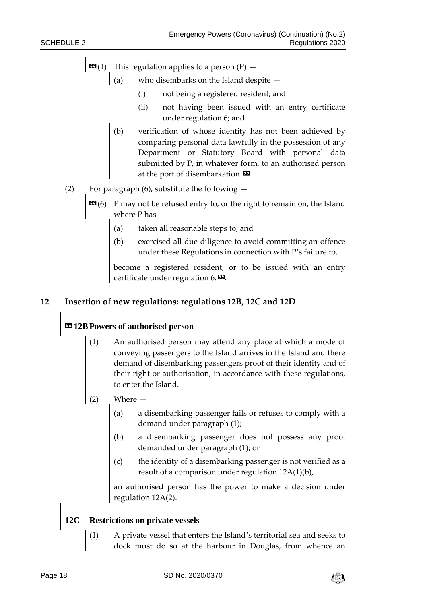- $\mathbf{G}(1)$  This regulation applies to a person (P)
	- (a) who disembarks on the Island despite  $$ 
		- not being a registered resident; and
		- (ii) not having been issued with an entry certificate under regulation 6; and
		- (b) verification of whose identity has not been achieved by comparing personal data lawfully in the possession of any Department or Statutory Board with personal data submitted by P, in whatever form, to an authorised person at the port of disembarkation. $\boldsymbol{\mathsf{E}}$ .
- (2) For paragraph  $(6)$ , substitute the following  $-$ 
	- **EG**(6) P may not be refused entry to, or the right to remain on, the Island where P has —
		- (a) taken all reasonable steps to; and
		- (b) exercised all due diligence to avoid committing an offence under these Regulations in connection with P's failure to,

become a registered resident, or to be issued with an entry certificate under regulation  $6.$  $\blacksquare$ .

#### **12 Insertion of new regulations: regulations 12B, 12C and 12D**

## **«12BPowers of authorised person**

- (1) An authorised person may attend any place at which a mode of conveying passengers to the Island arrives in the Island and there demand of disembarking passengers proof of their identity and of their right or authorisation, in accordance with these regulations, to enter the Island.
- (2) Where
	- (a) a disembarking passenger fails or refuses to comply with a demand under paragraph (1);
	- (b) a disembarking passenger does not possess any proof demanded under paragraph (1); or
	- (c) the identity of a disembarking passenger is not verified as a result of a comparison under regulation 12A(1)(b),

an authorised person has the power to make a decision under regulation 12A(2).

# **12C Restrictions on private vessels**

(1) A private vessel that enters the Island's territorial sea and seeks to dock must do so at the harbour in Douglas, from whence an

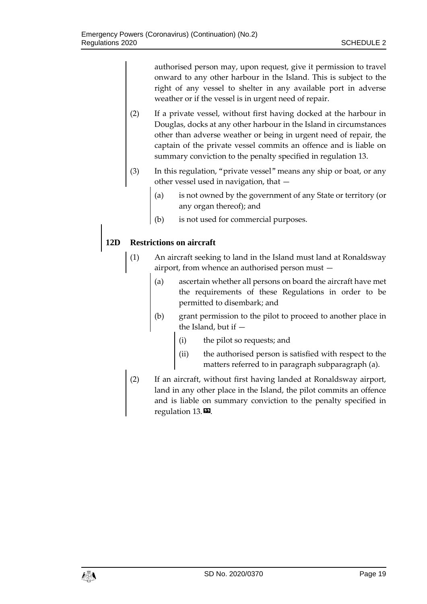authorised person may, upon request, give it permission to travel onward to any other harbour in the Island. This is subject to the right of any vessel to shelter in any available port in adverse weather or if the vessel is in urgent need of repair.

- (2) If a private vessel, without first having docked at the harbour in Douglas, docks at any other harbour in the Island in circumstances other than adverse weather or being in urgent need of repair, the captain of the private vessel commits an offence and is liable on summary conviction to the penalty specified in regulation 13.
- (3) In this regulation, "private vessel" means any ship or boat, or any other vessel used in navigation, that —
	- (a) is not owned by the government of any State or territory (or any organ thereof); and
	- (b) is not used for commercial purposes.

## **12D Restrictions on aircraft**

- (1) An aircraft seeking to land in the Island must land at Ronaldsway airport, from whence an authorised person must
	- ascertain whether all persons on board the aircraft have met the requirements of these Regulations in order to be permitted to disembark; and
	- (b) grant permission to the pilot to proceed to another place in the Island, but if —
		- (i) the pilot so requests; and
		- (ii) the authorised person is satisfied with respect to the matters referred to in paragraph subparagraph (a).
- (2) If an aircraft, without first having landed at Ronaldsway airport, land in any other place in the Island, the pilot commits an offence and is liable on summary conviction to the penalty specified in regulation 13.